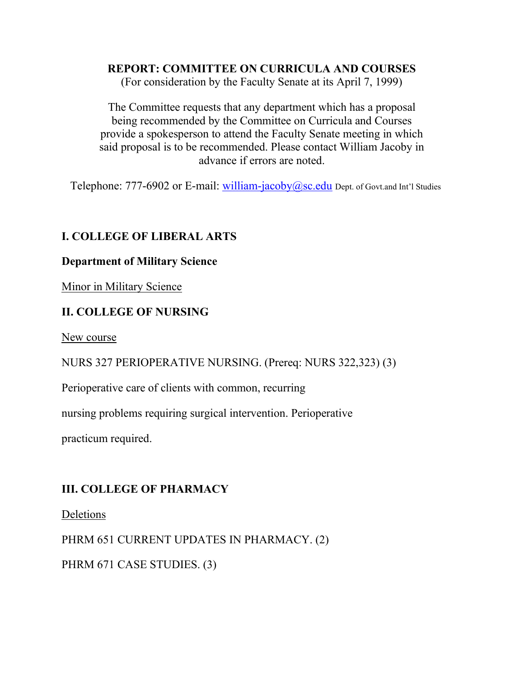# **REPORT: COMMITTEE ON CURRICULA AND COURSES**

(For consideration by the Faculty Senate at its April 7, 1999)

The Committee requests that any department which has a proposal being recommended by the Committee on Curricula and Courses provide a spokesperson to attend the Faculty Senate meeting in which said proposal is to be recommended. Please contact William Jacoby in advance if errors are noted.

Telephone: 777-6902 or E-mail: william-jacoby $@$ sc.edu Dept. of Govt.and Int'l Studies

## **I. COLLEGE OF LIBERAL ARTS**

### **Department of Military Science**

Minor in Military Science

## **II. COLLEGE OF NURSING**

New course

NURS 327 PERIOPERATIVE NURSING. (Prereq: NURS 322,323) (3)

Perioperative care of clients with common, recurring

nursing problems requiring surgical intervention. Perioperative

practicum required.

## **III. COLLEGE OF PHARMACY**

Deletions

PHRM 651 CURRENT UPDATES IN PHARMACY. (2)

PHRM 671 CASE STUDIES. (3)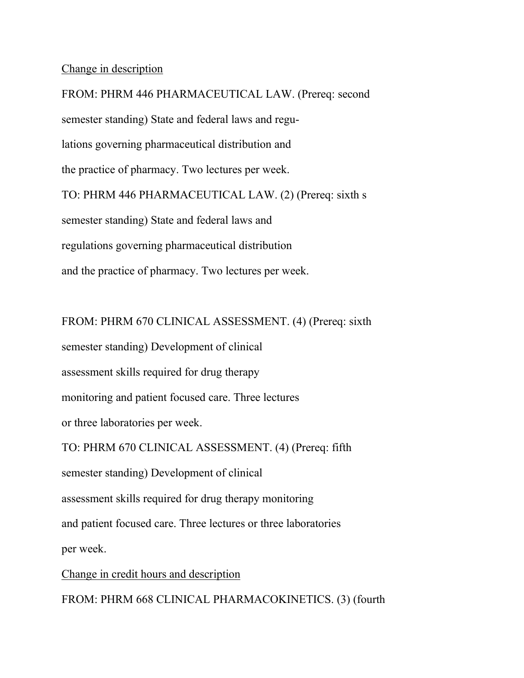#### Change in description

FROM: PHRM 446 PHARMACEUTICAL LAW. (Prereq: second semester standing) State and federal laws and regulations governing pharmaceutical distribution and the practice of pharmacy. Two lectures per week. TO: PHRM 446 PHARMACEUTICAL LAW. (2) (Prereq: sixth s semester standing) State and federal laws and regulations governing pharmaceutical distribution and the practice of pharmacy. Two lectures per week.

FROM: PHRM 670 CLINICAL ASSESSMENT. (4) (Prereq: sixth semester standing) Development of clinical assessment skills required for drug therapy monitoring and patient focused care. Three lectures or three laboratories per week. TO: PHRM 670 CLINICAL ASSESSMENT. (4) (Prereq: fifth semester standing) Development of clinical assessment skills required for drug therapy monitoring and patient focused care. Three lectures or three laboratories per week.

Change in credit hours and description

FROM: PHRM 668 CLINICAL PHARMACOKINETICS. (3) (fourth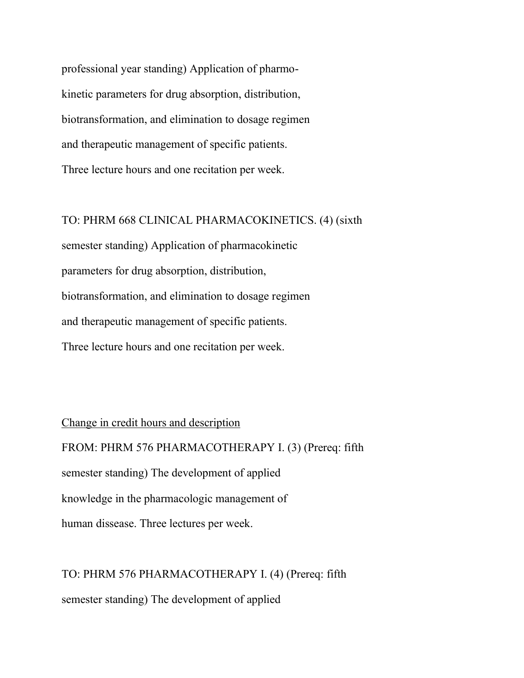professional year standing) Application of pharmokinetic parameters for drug absorption, distribution, biotransformation, and elimination to dosage regimen and therapeutic management of specific patients. Three lecture hours and one recitation per week.

### TO: PHRM 668 CLINICAL PHARMACOKINETICS. (4) (sixth

semester standing) Application of pharmacokinetic parameters for drug absorption, distribution, biotransformation, and elimination to dosage regimen and therapeutic management of specific patients. Three lecture hours and one recitation per week.

Change in credit hours and description FROM: PHRM 576 PHARMACOTHERAPY I. (3) (Prereq: fifth semester standing) The development of applied knowledge in the pharmacologic management of human dissease. Three lectures per week.

TO: PHRM 576 PHARMACOTHERAPY I. (4) (Prereq: fifth semester standing) The development of applied